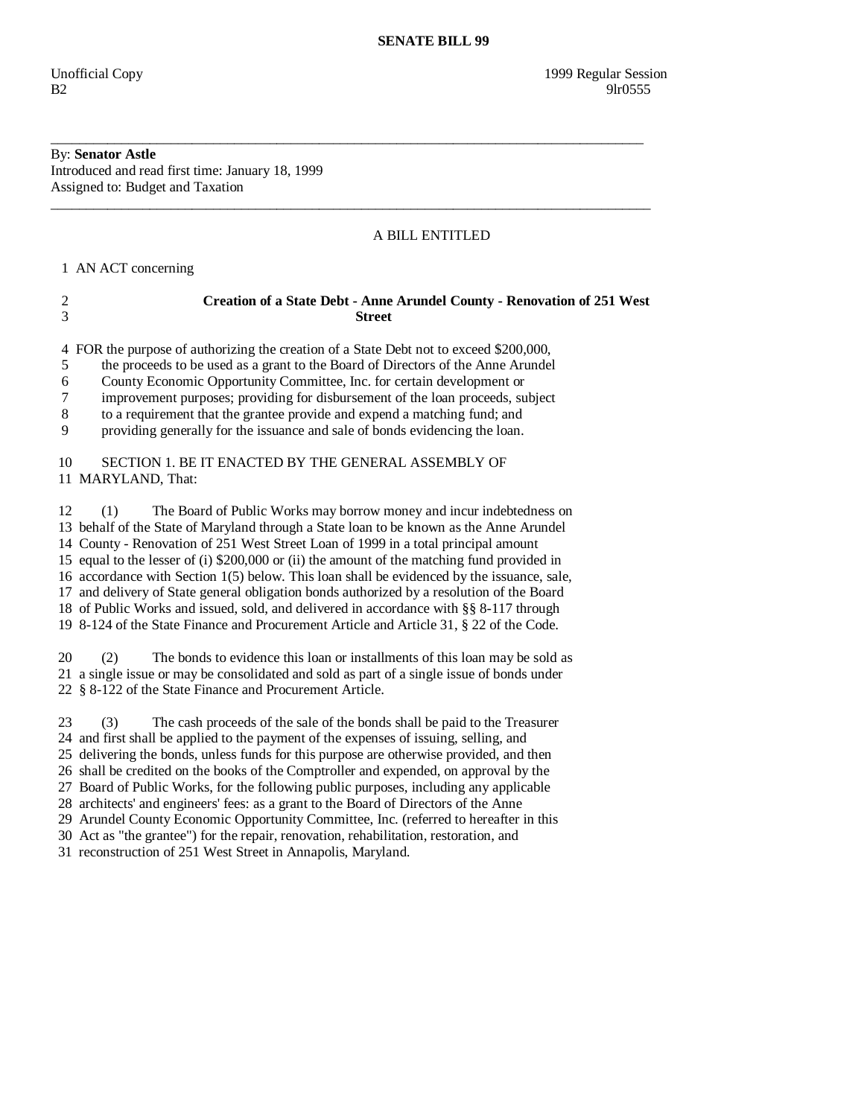## By: **Senator Astle**

Introduced and read first time: January 18, 1999 Assigned to: Budget and Taxation

### A BILL ENTITLED

1 AN ACT concerning

# 2 **Creation of a State Debt - Anne Arundel County - Renovation of 251 West**  3 **Street**

\_\_\_\_\_\_\_\_\_\_\_\_\_\_\_\_\_\_\_\_\_\_\_\_\_\_\_\_\_\_\_\_\_\_\_\_\_\_\_\_\_\_\_\_\_\_\_\_\_\_\_\_\_\_\_\_\_\_\_\_\_\_\_\_\_\_\_\_\_\_\_\_\_\_\_\_\_\_\_\_\_\_\_\_

 $\overline{\phantom{a}}$  ,  $\overline{\phantom{a}}$  ,  $\overline{\phantom{a}}$  ,  $\overline{\phantom{a}}$  ,  $\overline{\phantom{a}}$  ,  $\overline{\phantom{a}}$  ,  $\overline{\phantom{a}}$  ,  $\overline{\phantom{a}}$  ,  $\overline{\phantom{a}}$  ,  $\overline{\phantom{a}}$  ,  $\overline{\phantom{a}}$  ,  $\overline{\phantom{a}}$  ,  $\overline{\phantom{a}}$  ,  $\overline{\phantom{a}}$  ,  $\overline{\phantom{a}}$  ,  $\overline{\phantom{a}}$ 

4 FOR the purpose of authorizing the creation of a State Debt not to exceed \$200,000,

5 the proceeds to be used as a grant to the Board of Directors of the Anne Arundel

6 County Economic Opportunity Committee, Inc. for certain development or

7 improvement purposes; providing for disbursement of the loan proceeds, subject

8 to a requirement that the grantee provide and expend a matching fund; and

9 providing generally for the issuance and sale of bonds evidencing the loan.

### 10 SECTION 1. BE IT ENACTED BY THE GENERAL ASSEMBLY OF 11 MARYLAND, That:

 12 (1) The Board of Public Works may borrow money and incur indebtedness on 13 behalf of the State of Maryland through a State loan to be known as the Anne Arundel 14 County - Renovation of 251 West Street Loan of 1999 in a total principal amount 15 equal to the lesser of (i) \$200,000 or (ii) the amount of the matching fund provided in 16 accordance with Section 1(5) below. This loan shall be evidenced by the issuance, sale, 17 and delivery of State general obligation bonds authorized by a resolution of the Board 18 of Public Works and issued, sold, and delivered in accordance with §§ 8-117 through 19 8-124 of the State Finance and Procurement Article and Article 31, § 22 of the Code.

 20 (2) The bonds to evidence this loan or installments of this loan may be sold as 21 a single issue or may be consolidated and sold as part of a single issue of bonds under 22 § 8-122 of the State Finance and Procurement Article.

 23 (3) The cash proceeds of the sale of the bonds shall be paid to the Treasurer 24 and first shall be applied to the payment of the expenses of issuing, selling, and 25 delivering the bonds, unless funds for this purpose are otherwise provided, and then 26 shall be credited on the books of the Comptroller and expended, on approval by the 27 Board of Public Works, for the following public purposes, including any applicable 28 architects' and engineers' fees: as a grant to the Board of Directors of the Anne 29 Arundel County Economic Opportunity Committee, Inc. (referred to hereafter in this 30 Act as "the grantee") for the repair, renovation, rehabilitation, restoration, and

31 reconstruction of 251 West Street in Annapolis, Maryland.